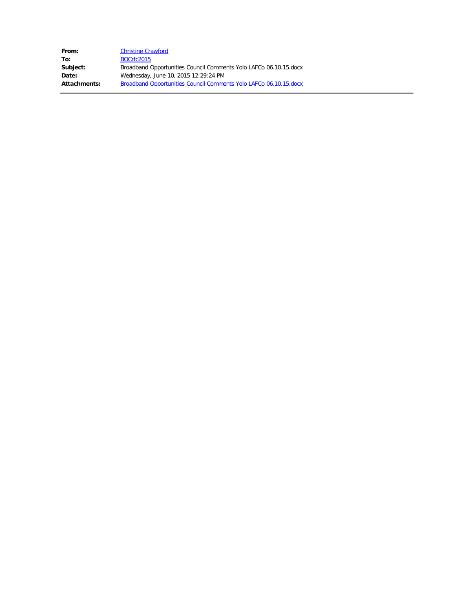| <b>Christine Crawford</b>                                         |
|-------------------------------------------------------------------|
| BOCrfc2015                                                        |
| Broadband Opportunities Council Comments Yolo LAFCo 06.10.15.docx |
| Wednesday, June 10, 2015 12:29:24 PM                              |
| Broadband Opportunities Council Comments Yolo LAFCo 06.10.15.docx |
|                                                                   |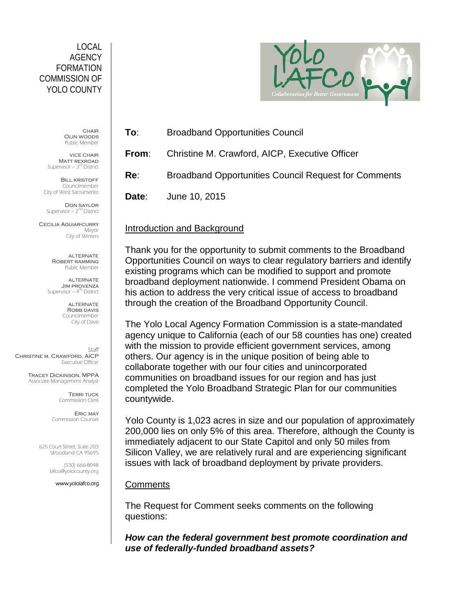#### LOCAL AGENCY FORMATION COMMISSION OF YOLO COUNTY

**CHAIR** Olin woods Public Member

VICE CHAIR Matt rexroad Supervisor – 3<sup>rd</sup> District

**BILL KRISTOFF** Councilmember City of West Sacramento

Don saylor Supervisor –  $2<sup>nd</sup>$  District

Cecilia Aguiar-curry Mayor City of Winters

> ALTERNATE Robert ramming Public Member

ALTERNATE Jim provenza Supervisor  $-4<sup>th</sup>$  District

> **ALTERNATE** ROBB DAVIS Councilmember City of Davis

Staff Christine m. Crawford, AICP Executive Officer

> Tracey Dickinson, MPPA Associate Management Analyst

> > Terri tuck Commission Clerk

Eric may Commission Counsel

625 Court Street, Suite 203 Woodland CA 95695

> (530) 666-8048 lafco@yolocounty.org

> > www.yololafco.org



**To**: Broadband Opportunities Council

**From**: Christine M. Crawford, AICP, Executive Officer

**Re**: Broadband Opportunities Council Request for Comments

**Date**: June 10, 2015

# Introduction and Background

Thank you for the opportunity to submit comments to the Broadband Opportunities Council on ways to clear regulatory barriers and identify existing programs which can be modified to support and promote broadband deployment nationwide. I commend President Obama on his action to address the very critical issue of access to broadband through the creation of the Broadband Opportunity Council.

The Yolo Local Agency Formation Commission is a state-mandated agency unique to California (each of our 58 counties has one) created with the mission to provide efficient government services, among others. Our agency is in the unique position of being able to collaborate together with our four cities and unincorporated communities on broadband issues for our region and has just completed the Yolo Broadband Strategic Plan for our communities countywide.

Yolo County is 1,023 acres in size and our population of approximately 200,000 lies on only 5% of this area. Therefore, although the County is immediately adjacent to our State Capitol and only 50 miles from Silicon Valley, we are relatively rural and are experiencing significant issues with lack of broadband deployment by private providers.

## **Comments**

The Request for Comment seeks comments on the following questions:

*How can the federal government best promote coordination and use of federally-funded broadband assets?*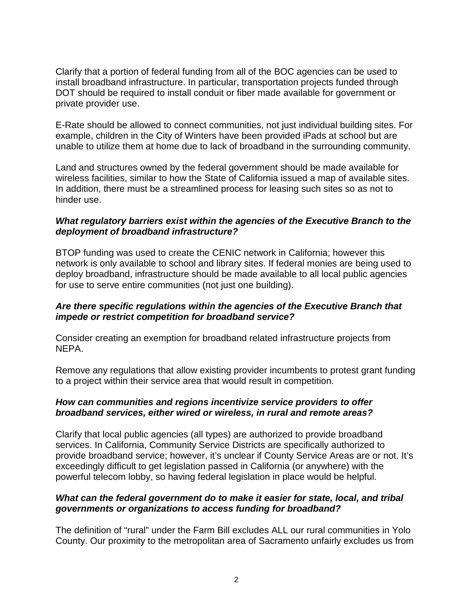Clarify that a portion of federal funding from all of the BOC agencies can be used to install broadband infrastructure. In particular, transportation projects funded through DOT should be required to install conduit or fiber made available for government or private provider use.

E-Rate should be allowed to connect communities, not just individual building sites. For example, children in the City of Winters have been provided iPads at school but are unable to utilize them at home due to lack of broadband in the surrounding community.

Land and structures owned by the federal government should be made available for wireless facilities, similar to how the State of California issued a map of available sites. In addition, there must be a streamlined process for leasing such sites so as not to hinder use.

#### *What regulatory barriers exist within the agencies of the Executive Branch to the deployment of broadband infrastructure?*

BTOP funding was used to create the CENIC network in California; however this network is only available to school and library sites. If federal monies are being used to deploy broadband, infrastructure should be made available to all local public agencies for use to serve entire communities (not just one building).

#### *Are there specific regulations within the agencies of the Executive Branch that impede or restrict competition for broadband service?*

Consider creating an exemption for broadband related infrastructure projects from NEPA.

Remove any regulations that allow existing provider incumbents to protest grant funding to a project within their service area that would result in competition.

#### *How can communities and regions incentivize service providers to offer broadband services, either wired or wireless, in rural and remote areas?*

Clarify that local public agencies (all types) are authorized to provide broadband services. In California, Community Service Districts are specifically authorized to provide broadband service; however, it's unclear if County Service Areas are or not. It's exceedingly difficult to get legislation passed in California (or anywhere) with the powerful telecom lobby, so having federal legislation in place would be helpful.

### *What can the federal government do to make it easier for state, local, and tribal governments or organizations to access funding for broadband?*

The definition of "rural" under the Farm Bill excludes ALL our rural communities in Yolo County. Our proximity to the metropolitan area of Sacramento unfairly excludes us from